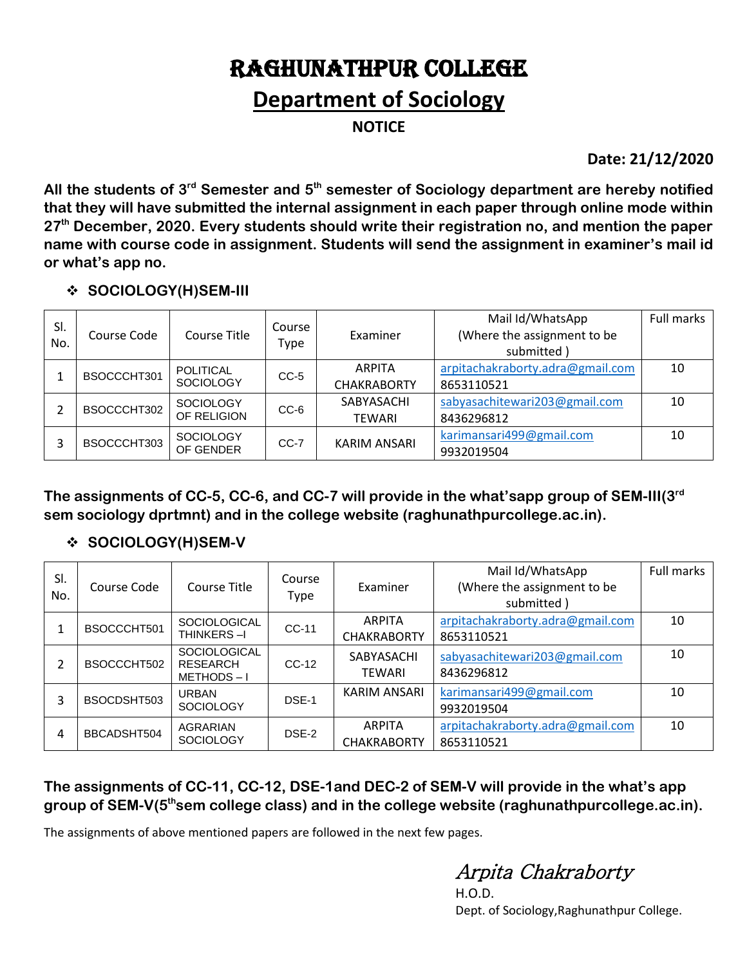# RAGHUNATHPUR COLLEGE

### **Department of Sociology**

**NOTICE**

**Date: 21/12/2020**

**All the students of 3rd Semester and 5th semester of Sociology department are hereby notified that they will have submitted the internal assignment in each paper through online mode within 27th December, 2020. Every students should write their registration no, and mention the paper name with course code in assignment. Students will send the assignment in examiner's mail id or what's app no.**

#### **SOCIOLOGY(H)SEM-III**

| SI.<br>No. | Course Code | Course Title                         | Course<br>Type | Examiner                            | Mail Id/WhatsApp<br>(Where the assignment to be<br>submitted) | Full marks |
|------------|-------------|--------------------------------------|----------------|-------------------------------------|---------------------------------------------------------------|------------|
|            | BSOCCCHT301 | <b>POLITICAL</b><br><b>SOCIOLOGY</b> | $CC-5$         | <b>ARPITA</b><br><b>CHAKRABORTY</b> | arpitachakraborty.adra@gmail.com<br>8653110521                | 10         |
| 2          | BSOCCCHT302 | <b>SOCIOLOGY</b><br>OF RELIGION      | $CC-6$         | SABYASACHI<br><b>TEWARI</b>         | sabyasachitewari203@gmail.com<br>8436296812                   | 10         |
| 3          | BSOCCCHT303 | <b>SOCIOLOGY</b><br>OF GENDER        | $CC-7$         | <b>KARIM ANSARI</b>                 | karimansari499@gmail.com<br>9932019504                        | 10         |

**The assignments of CC-5, CC-6, and CC-7 will provide in the what'sapp group of SEM-III(3 rd sem sociology dprtmnt) and in the college website (raghunathpurcollege.ac.in).** 

### **SOCIOLOGY(H)SEM-V**

| SI.<br>No. | Course Code | Course Title                                        | Course<br>Type | Examiner                            | Mail Id/WhatsApp<br>(Where the assignment to be<br>submitted) | <b>Full marks</b> |
|------------|-------------|-----------------------------------------------------|----------------|-------------------------------------|---------------------------------------------------------------|-------------------|
|            | BSOCCCHT501 | <b>SOCIOLOGICAL</b><br>THINKERS-I                   | CC-11          | <b>ARPITA</b><br><b>CHAKRABORTY</b> | arpitachakraborty.adra@gmail.com<br>8653110521                | 10                |
| 2          | BSOCCCHT502 | <b>SOCIOLOGICAL</b><br><b>RESEARCH</b><br>METHODS-I | $CC-12$        | SABYASACHI<br><b>TEWARI</b>         | sabyasachitewari203@gmail.com<br>8436296812                   | 10                |
| 3          | BSOCDSHT503 | <b>URBAN</b><br><b>SOCIOLOGY</b>                    | DSE-1          | KARIM ANSARI                        | karimansari499@gmail.com<br>9932019504                        | 10                |
| 4          | BBCADSHT504 | AGRARIAN<br><b>SOCIOLOGY</b>                        | DSE-2          | <b>ARPITA</b><br><b>CHAKRABORTY</b> | arpitachakraborty.adra@gmail.com<br>8653110521                | 10                |

### **The assignments of CC-11, CC-12, DSE-1and DEC-2 of SEM-V will provide in the what's app**  group of SEM-V(5<sup>th</sup>sem college class) and in the college website (raghunathpurcollege.ac.in).

The assignments of above mentioned papers are followed in the next few pages.

Arpita Chakraborty

H.O.D. Dept. of Sociology,Raghunathpur College.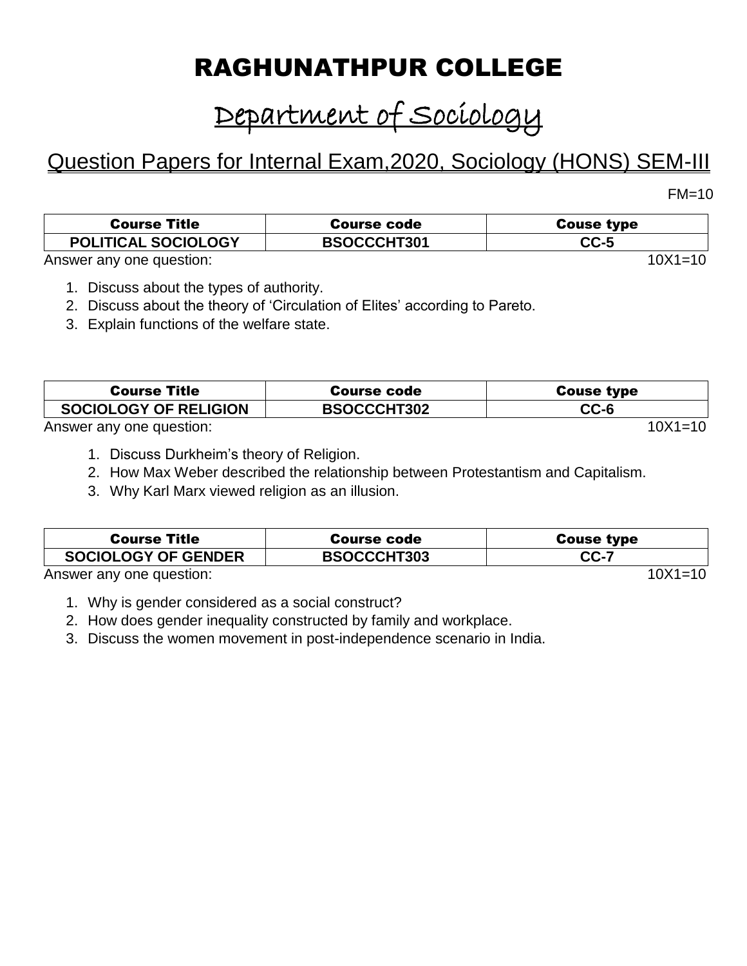# RAGHUNATHPUR COLLEGE

# Department of Sociology

## Question Papers for Internal Exam,2020, Sociology (HONS) SEM-III

 $FM=10$ 

| <b>Course Title</b>        | Course code        | <b>Couse type</b> |
|----------------------------|--------------------|-------------------|
| <b>POLITICAL SOCIOLOGY</b> | <b>BSOCCCHT301</b> | $CC-5$            |
| Answer any one question:   | $10X1 = 10$        |                   |

- 1. Discuss about the types of authority.
- 2. Discuss about the theory of 'Circulation of Elites' according to Pareto.
- 3. Explain functions of the welfare state.

| <b>Course Title</b>          | Course code        | <b>Couse type</b> |
|------------------------------|--------------------|-------------------|
| <b>SOCIOLOGY OF RELIGION</b> | <b>BSOCCCHT302</b> | $CC-6$            |
| Answer any one question:     |                    | $10X1 = 10$       |

- 1. Discuss Durkheim's theory of Religion.
- 2. How Max Weber described the relationship between Protestantism and Capitalism.
- 3. Why Karl Marx viewed religion as an illusion.

| <b>Course Title</b>                                                                                                                                                                                                              | <b>Course code</b> | <b>Couse type</b> |
|----------------------------------------------------------------------------------------------------------------------------------------------------------------------------------------------------------------------------------|--------------------|-------------------|
| <b>SOCIOLOGY OF GENDER</b>                                                                                                                                                                                                       | <b>BSOCCCHT303</b> | <b>CC-7</b>       |
| $\mathbf{A}$ , and the set of the set of the set of the set of the set of the set of the set of the set of the set of the set of the set of the set of the set of the set of the set of the set of the set of the set of the set |                    | $\overline{1}$    |

Answer any one question: 10X1=10

- 1. Why is gender considered as a social construct?
- 2. How does gender inequality constructed by family and workplace.
- 3. Discuss the women movement in post-independence scenario in India.